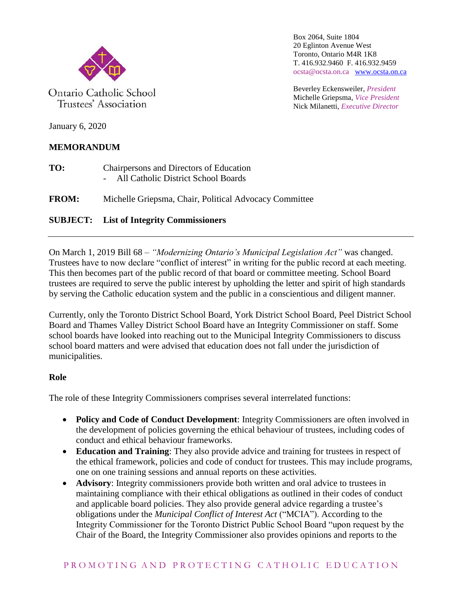

Ontario Catholic School Trustees' Association

Box 2064, Suite 1804 20 Eglinton Avenue West Toronto, Ontario M4R 1K8 T. 416.932.9460 F. 416.932.9459 ocsta@ocsta.on.ca [www.ocsta.on.ca](http://www.ocsta.on.ca/)

Beverley Eckensweiler, *President* Michelle Griepsma, *Vice President* Nick Milanetti, *Executive Director*

January 6, 2020

# **MEMORANDUM**

- **TO:** Chairpersons and Directors of Education - All Catholic District School Boards
- **FROM:** Michelle Griepsma, Chair, Political Advocacy Committee

# **SUBJECT: List of Integrity Commissioners**

On March 1, 2019 Bill 68 – *"Modernizing Ontario's Municipal Legislation Act"* was changed. Trustees have to now declare "conflict of interest" in writing for the public record at each meeting. This then becomes part of the public record of that board or committee meeting. School Board trustees are required to serve the public interest by upholding the letter and spirit of high standards by serving the Catholic education system and the public in a conscientious and diligent manner.

Currently, only the Toronto District School Board, York District School Board, Peel District School Board and Thames Valley District School Board have an Integrity Commissioner on staff. Some school boards have looked into reaching out to the Municipal Integrity Commissioners to discuss school board matters and were advised that education does not fall under the jurisdiction of municipalities.

### **Role**

The role of these Integrity Commissioners comprises several interrelated functions:

- **Policy and Code of Conduct Development**: Integrity Commissioners are often involved in the development of policies governing the ethical behaviour of trustees, including codes of conduct and ethical behaviour frameworks.
- **Education and Training**: They also provide advice and training for trustees in respect of the ethical framework, policies and code of conduct for trustees. This may include programs, one on one training sessions and annual reports on these activities.
- **Advisory**: Integrity commissioners provide both written and oral advice to trustees in maintaining compliance with their ethical obligations as outlined in their codes of conduct and applicable board policies. They also provide general advice regarding a trustee's obligations under the *Municipal Conflict of Interest Act* ("MCIA"). According to the Integrity Commissioner for the Toronto District Public School Board "upon request by the Chair of the Board, the Integrity Commissioner also provides opinions and reports to the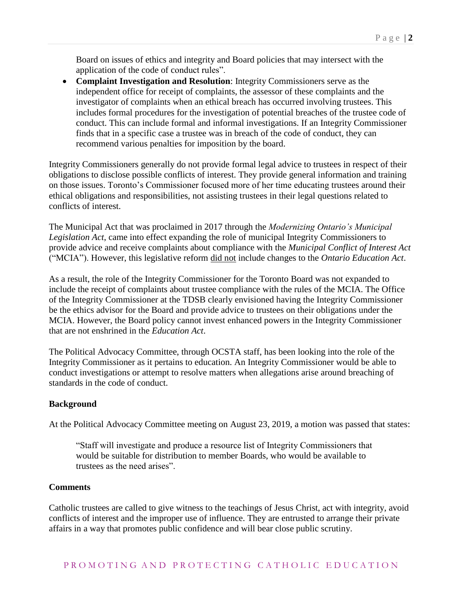Board on issues of ethics and integrity and Board policies that may intersect with the application of the code of conduct rules".

 **Complaint Investigation and Resolution**: Integrity Commissioners serve as the independent office for receipt of complaints, the assessor of these complaints and the investigator of complaints when an ethical breach has occurred involving trustees. This includes formal procedures for the investigation of potential breaches of the trustee code of conduct. This can include formal and informal investigations. If an Integrity Commissioner finds that in a specific case a trustee was in breach of the code of conduct, they can recommend various penalties for imposition by the board.

Integrity Commissioners generally do not provide formal legal advice to trustees in respect of their obligations to disclose possible conflicts of interest. They provide general information and training on those issues. Toronto's Commissioner focused more of her time educating trustees around their ethical obligations and responsibilities, not assisting trustees in their legal questions related to conflicts of interest.

The Municipal Act that was proclaimed in 2017 through the *Modernizing Ontario's Municipal Legislation Act*, came into effect expanding the role of municipal Integrity Commissioners to provide advice and receive complaints about compliance with the *Municipal Conflict of Interest Act* ("MCIA"). However, this legislative reform did not include changes to the *Ontario Education Act*.

As a result, the role of the Integrity Commissioner for the Toronto Board was not expanded to include the receipt of complaints about trustee compliance with the rules of the MCIA. The Office of the Integrity Commissioner at the TDSB clearly envisioned having the Integrity Commissioner be the ethics advisor for the Board and provide advice to trustees on their obligations under the MCIA. However, the Board policy cannot invest enhanced powers in the Integrity Commissioner that are not enshrined in the *Education Act*.

The Political Advocacy Committee, through OCSTA staff, has been looking into the role of the Integrity Commissioner as it pertains to education. An Integrity Commissioner would be able to conduct investigations or attempt to resolve matters when allegations arise around breaching of standards in the code of conduct.

#### **Background**

At the Political Advocacy Committee meeting on August 23, 2019, a motion was passed that states:

"Staff will investigate and produce a resource list of Integrity Commissioners that would be suitable for distribution to member Boards, who would be available to trustees as the need arises".

#### **Comments**

Catholic trustees are called to give witness to the teachings of Jesus Christ, act with integrity, avoid conflicts of interest and the improper use of influence. They are entrusted to arrange their private affairs in a way that promotes public confidence and will bear close public scrutiny.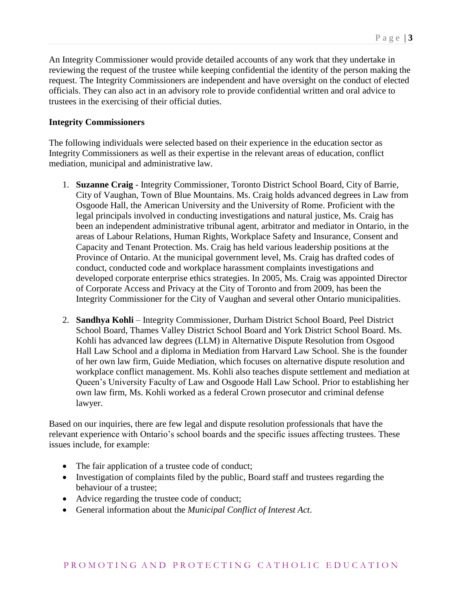An Integrity Commissioner would provide detailed accounts of any work that they undertake in reviewing the request of the trustee while keeping confidential the identity of the person making the request. The Integrity Commissioners are independent and have oversight on the conduct of elected officials. They can also act in an advisory role to provide confidential written and oral advice to trustees in the exercising of their official duties.

### **Integrity Commissioners**

The following individuals were selected based on their experience in the education sector as Integrity Commissioners as well as their expertise in the relevant areas of education, conflict mediation, municipal and administrative law.

- 1. **Suzanne Craig** Integrity Commissioner, Toronto District School Board, City of Barrie, City of Vaughan, Town of Blue Mountains. Ms. Craig holds advanced degrees in Law from Osgoode Hall, the American University and the University of Rome. Proficient with the legal principals involved in conducting investigations and natural justice, Ms. Craig has been an independent administrative tribunal agent, arbitrator and mediator in Ontario, in the areas of Labour Relations, Human Rights, Workplace Safety and Insurance, Consent and Capacity and Tenant Protection. Ms. Craig has held various leadership positions at the Province of Ontario. At the municipal government level, Ms. Craig has drafted codes of conduct, conducted code and workplace harassment complaints investigations and developed corporate enterprise ethics strategies. In 2005, Ms. Craig was appointed Director of Corporate Access and Privacy at the City of Toronto and from 2009, has been the Integrity Commissioner for the City of Vaughan and several other Ontario municipalities.
- 2. **Sandhya Kohli** Integrity Commissioner, Durham District School Board, Peel District School Board, Thames Valley District School Board and York District School Board. Ms. Kohli has advanced law degrees (LLM) in Alternative Dispute Resolution from Osgood Hall Law School and a diploma in Mediation from Harvard Law School. She is the founder of her own law firm, Guide Mediation, which focuses on alternative dispute resolution and workplace conflict management. Ms. Kohli also teaches dispute settlement and mediation at Queen's University Faculty of Law and Osgoode Hall Law School. Prior to establishing her own law firm, Ms. Kohli worked as a federal Crown prosecutor and criminal defense lawyer.

Based on our inquiries, there are few legal and dispute resolution professionals that have the relevant experience with Ontario's school boards and the specific issues affecting trustees. These issues include, for example:

- The fair application of a trustee code of conduct;
- Investigation of complaints filed by the public, Board staff and trustees regarding the behaviour of a trustee;
- Advice regarding the trustee code of conduct;
- General information about the *Municipal Conflict of Interest Act*.